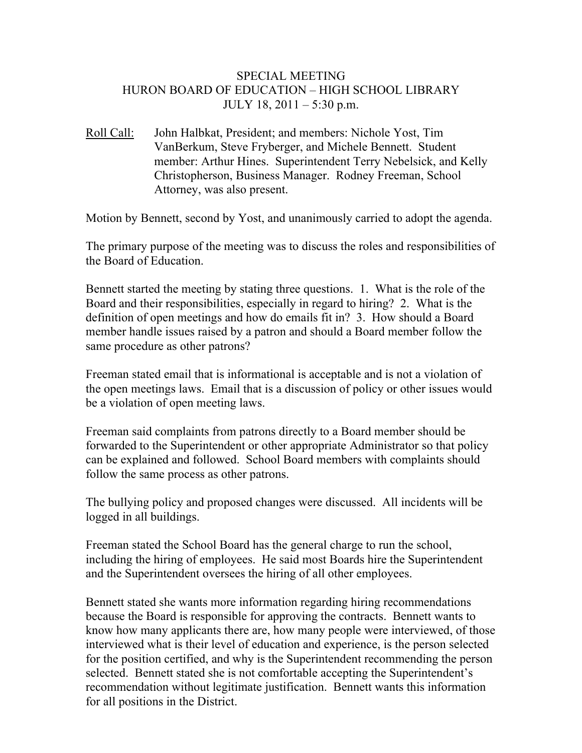## SPECIAL MEETING HURON BOARD OF EDUCATION – HIGH SCHOOL LIBRARY JULY 18, 2011 – 5:30 p.m.

Roll Call: John Halbkat, President; and members: Nichole Yost, Tim VanBerkum, Steve Fryberger, and Michele Bennett. Student member: Arthur Hines. Superintendent Terry Nebelsick, and Kelly Christopherson, Business Manager. Rodney Freeman, School Attorney, was also present.

Motion by Bennett, second by Yost, and unanimously carried to adopt the agenda.

The primary purpose of the meeting was to discuss the roles and responsibilities of the Board of Education.

Bennett started the meeting by stating three questions. 1. What is the role of the Board and their responsibilities, especially in regard to hiring? 2. What is the definition of open meetings and how do emails fit in? 3. How should a Board member handle issues raised by a patron and should a Board member follow the same procedure as other patrons?

Freeman stated email that is informational is acceptable and is not a violation of the open meetings laws. Email that is a discussion of policy or other issues would be a violation of open meeting laws.

Freeman said complaints from patrons directly to a Board member should be forwarded to the Superintendent or other appropriate Administrator so that policy can be explained and followed. School Board members with complaints should follow the same process as other patrons.

The bullying policy and proposed changes were discussed. All incidents will be logged in all buildings.

Freeman stated the School Board has the general charge to run the school, including the hiring of employees. He said most Boards hire the Superintendent and the Superintendent oversees the hiring of all other employees.

Bennett stated she wants more information regarding hiring recommendations because the Board is responsible for approving the contracts. Bennett wants to know how many applicants there are, how many people were interviewed, of those interviewed what is their level of education and experience, is the person selected for the position certified, and why is the Superintendent recommending the person selected. Bennett stated she is not comfortable accepting the Superintendent's recommendation without legitimate justification. Bennett wants this information for all positions in the District.